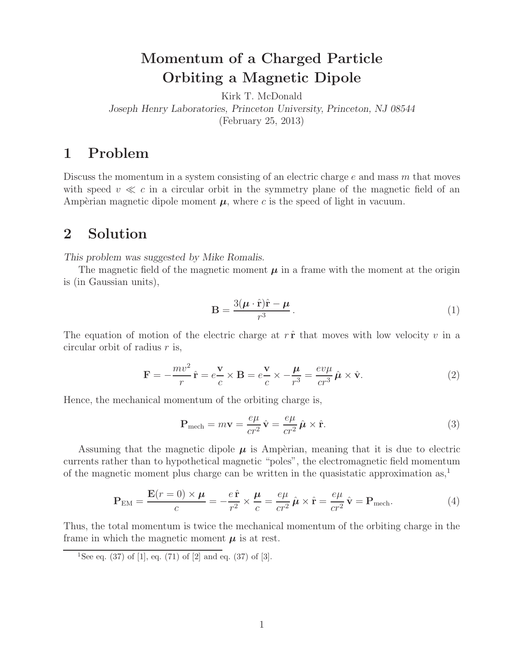# **Momentum of a Charged Particle Orbiting a Magnetic Dipole**

Kirk T. McDonald *Joseph Henry Laboratories, Princeton University, Princeton, NJ 08544* (February 25, 2013)

## **1 Problem**

Discuss the momentum in a system consisting of an electric charge  $e$  and mass  $m$  that moves with speed  $v \ll c$  in a circular orbit in the symmetry plane of the magnetic field of an Ampèrian magnetic dipole moment  $\mu$ , where c is the speed of light in vacuum.

#### **2 Solution**

*This problem was suggested by Mike Romalis.*

The magnetic field of the magnetic moment  $\mu$  in a frame with the moment at the origin is (in Gaussian units),

$$
\mathbf{B} = \frac{3(\boldsymbol{\mu} \cdot \hat{\mathbf{r}})\hat{\mathbf{r}} - \boldsymbol{\mu}}{r^3}.
$$
 (1)

The equation of motion of the electric charge at  $r \hat{\mathbf{r}}$  that moves with low velocity v in a circular orbit of radius  $r$  is,

$$
\mathbf{F} = -\frac{mv^2}{r}\hat{\mathbf{r}} = e\frac{\mathbf{v}}{c} \times \mathbf{B} = e\frac{\mathbf{v}}{c} \times -\frac{\boldsymbol{\mu}}{r^3} = \frac{ev\mu}{cr^3}\hat{\boldsymbol{\mu}} \times \hat{\mathbf{v}}.
$$
 (2)

Hence, the mechanical momentum of the orbiting charge is,

$$
\mathbf{P}_{\text{mech}} = m\mathbf{v} = \frac{e\mu}{cr^2} \hat{\mathbf{v}} = \frac{e\mu}{cr^2} \hat{\boldsymbol{\mu}} \times \hat{\mathbf{r}}.
$$
 (3)

Assuming that the magnetic dipole  $\mu$  is Ampèrian, meaning that it is due to electric currents rather than to hypothetical magnetic "poles", the electromagnetic field momentum of the magnetic moment plus charge can be written in the quasistatic approximation as,<sup>1</sup>

$$
\mathbf{P}_{\text{EM}} = \frac{\mathbf{E}(r=0) \times \boldsymbol{\mu}}{c} = -\frac{e\,\hat{\mathbf{r}}}{r^2} \times \frac{\boldsymbol{\mu}}{c} = \frac{e\mu}{cr^2} \,\hat{\boldsymbol{\mu}} \times \hat{\mathbf{r}} = \frac{e\mu}{cr^2} \,\hat{\mathbf{v}} = \mathbf{P}_{\text{mech}}.\tag{4}
$$

Thus, the total momentum is twice the mechanical momentum of the orbiting charge in the frame in which the magnetic moment  $\mu$  is at rest.

<sup>&</sup>lt;sup>1</sup>See eq. (37) of [1], eq. (71) of [2] and eq. (37) of [3].